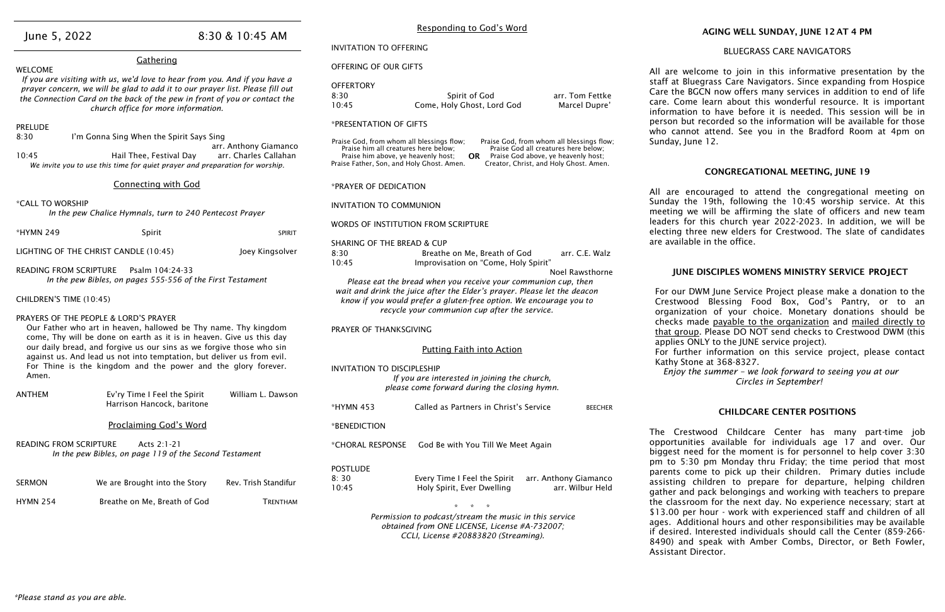| June 5, 2022                                                                                                                                                                                                                                                                                                                                                                                                 |                                                                                                                                                                                                                                                                                 | 8:30 & 10:45 AM      | <b>INVITATION TO OFFERING</b>                                                                                                                                                                                                                                                                                                                      |                                                                                                                                                 |                                           |                                                                     |
|--------------------------------------------------------------------------------------------------------------------------------------------------------------------------------------------------------------------------------------------------------------------------------------------------------------------------------------------------------------------------------------------------------------|---------------------------------------------------------------------------------------------------------------------------------------------------------------------------------------------------------------------------------------------------------------------------------|----------------------|----------------------------------------------------------------------------------------------------------------------------------------------------------------------------------------------------------------------------------------------------------------------------------------------------------------------------------------------------|-------------------------------------------------------------------------------------------------------------------------------------------------|-------------------------------------------|---------------------------------------------------------------------|
| Gathering                                                                                                                                                                                                                                                                                                                                                                                                    |                                                                                                                                                                                                                                                                                 |                      | OFFERING OF OUR GIFTS                                                                                                                                                                                                                                                                                                                              |                                                                                                                                                 |                                           |                                                                     |
| <b>WELCOME</b>                                                                                                                                                                                                                                                                                                                                                                                               | If you are visiting with us, we'd love to hear from you. And if you have a<br>prayer concern, we will be glad to add it to our prayer list. Please fill out<br>the Connection Card on the back of the pew in front of you or contact the<br>church office for more information. |                      | <b>OFFERTORY</b><br>8:30<br>10:45                                                                                                                                                                                                                                                                                                                  | Spirit of God<br>Come, Holy Ghost, Lord God                                                                                                     | arr. Tom Fettke<br>Marcel Dupre'          | All are we<br>staff at Blu<br>Care the B<br>care. Com<br>informatio |
| <b>PRELUDE</b>                                                                                                                                                                                                                                                                                                                                                                                               |                                                                                                                                                                                                                                                                                 |                      | *PRESENTATION OF GIFTS                                                                                                                                                                                                                                                                                                                             |                                                                                                                                                 |                                           | person but<br>who canno                                             |
| 8:30<br>I'm Gonna Sing When the Spirit Says Sing<br>arr. Anthony Giamanco<br>10:45<br>arr. Charles Callahan<br>Hail Thee, Festival Day<br>We invite you to use this time for quiet prayer and preparation for worship.                                                                                                                                                                                       |                                                                                                                                                                                                                                                                                 |                      | Praise God, from whom all blessings flow;<br>Praise God, from whom all blessings flow;<br>Praise him all creatures here below;<br>Praise God all creatures here below;<br>Praise him above, ye heavenly host;<br>Praise God above, ye heavenly host;<br>OR.<br>Praise Father, Son, and Holy Ghost. Amen.<br>Creator, Christ, and Holy Ghost. Amen. |                                                                                                                                                 |                                           | Sunday, Jur                                                         |
|                                                                                                                                                                                                                                                                                                                                                                                                              | <b>Connecting with God</b>                                                                                                                                                                                                                                                      |                      | *PRAYER OF DEDICATION                                                                                                                                                                                                                                                                                                                              |                                                                                                                                                 |                                           | All are er                                                          |
| *CALL TO WORSHIP<br>In the pew Chalice Hymnals, turn to 240 Pentecost Prayer                                                                                                                                                                                                                                                                                                                                 |                                                                                                                                                                                                                                                                                 |                      | <b>INVITATION TO COMMUNION</b>                                                                                                                                                                                                                                                                                                                     |                                                                                                                                                 | Sunday the<br>meeting w<br>leaders for    |                                                                     |
| *HYMN 249                                                                                                                                                                                                                                                                                                                                                                                                    | Spirit                                                                                                                                                                                                                                                                          | <b>SPIRIT</b>        | WORDS OF INSTITUTION FROM SCRIPTURE<br>electing th                                                                                                                                                                                                                                                                                                 |                                                                                                                                                 |                                           |                                                                     |
|                                                                                                                                                                                                                                                                                                                                                                                                              | LIGHTING OF THE CHRIST CANDLE (10:45)                                                                                                                                                                                                                                           | Joey Kingsolver      | <b>SHARING OF THE BREAD &amp; CUP</b><br>8:30                                                                                                                                                                                                                                                                                                      | Breathe on Me, Breath of God                                                                                                                    | arr. C.E. Walz                            | are availab                                                         |
| <b>READING FROM SCRIPTURE</b><br>Psalm 104:24-33<br>In the pew Bibles, on pages 555-556 of the First Testament                                                                                                                                                                                                                                                                                               |                                                                                                                                                                                                                                                                                 |                      | 10:45<br>Improvisation on "Come, Holy Spirit"<br><b>Noel Rawsthorne</b><br>Please eat the bread when you receive your communion cup, then                                                                                                                                                                                                          |                                                                                                                                                 | <b>JUNE</b>                               |                                                                     |
| CHILDREN'S TIME (10:45)                                                                                                                                                                                                                                                                                                                                                                                      |                                                                                                                                                                                                                                                                                 |                      | wait and drink the juice after the Elder's prayer. Please let the deacon<br>know if you would prefer a gluten-free option. We encourage you to<br>recycle your communion cup after the service.                                                                                                                                                    |                                                                                                                                                 |                                           | For our D<br>Crestwoo<br>organizat                                  |
| PRAYERS OF THE PEOPLE & LORD'S PRAYER<br>Our Father who art in heaven, hallowed be Thy name. Thy kingdom<br>come, Thy will be done on earth as it is in heaven. Give us this day<br>our daily bread, and forgive us our sins as we forgive those who sin<br>against us. And lead us not into temptation, but deliver us from evil.<br>For Thine is the kingdom and the power and the glory forever.<br>Amen. |                                                                                                                                                                                                                                                                                 |                      | PRAYER OF THANKSGIVING<br><b>Putting Faith into Action</b>                                                                                                                                                                                                                                                                                         |                                                                                                                                                 |                                           | checks m<br><u>that grou</u><br>applies O                           |
|                                                                                                                                                                                                                                                                                                                                                                                                              |                                                                                                                                                                                                                                                                                 |                      | <b>INVITATION TO DISCIPLESHIP</b><br>If you are interested in joining the church,                                                                                                                                                                                                                                                                  |                                                                                                                                                 |                                           | For furth<br><b>Kathy Sto</b><br>Enjoy tl                           |
| <b>ANTHEM</b>                                                                                                                                                                                                                                                                                                                                                                                                | Ev'ry Time I Feel the Spirit<br>William L. Dawson                                                                                                                                                                                                                               |                      |                                                                                                                                                                                                                                                                                                                                                    | please come forward during the closing hymn.                                                                                                    |                                           |                                                                     |
|                                                                                                                                                                                                                                                                                                                                                                                                              | Harrison Hancock, baritone                                                                                                                                                                                                                                                      |                      | *HYMN 453                                                                                                                                                                                                                                                                                                                                          | Called as Partners in Christ's Service                                                                                                          | <b>BEECHER</b>                            |                                                                     |
|                                                                                                                                                                                                                                                                                                                                                                                                              | Proclaiming God's Word                                                                                                                                                                                                                                                          |                      | *BENEDICTION                                                                                                                                                                                                                                                                                                                                       |                                                                                                                                                 |                                           | The Crest                                                           |
| <b>READING FROM SCRIPTURE</b>                                                                                                                                                                                                                                                                                                                                                                                | Acts 2:1-21<br>In the pew Bibles, on page 119 of the Second Testament                                                                                                                                                                                                           |                      | *CHORAL RESPONSE                                                                                                                                                                                                                                                                                                                                   | God Be with You Till We Meet Again                                                                                                              |                                           | opportunit<br>biggest ne<br>pm to $5:3$                             |
| <b>SERMON</b>                                                                                                                                                                                                                                                                                                                                                                                                | We are Brought into the Story                                                                                                                                                                                                                                                   | Rev. Trish Standifur | <b>POSTLUDE</b><br>8:30<br>10:45                                                                                                                                                                                                                                                                                                                   | Every Time I Feel the Spirit<br>Holy Spirit, Ever Dwelling                                                                                      | arr. Anthony Giamanco<br>arr. Wilbur Held | parents co<br>assisting<br>gather and                               |
| <b>HYMN 254</b>                                                                                                                                                                                                                                                                                                                                                                                              | Breathe on Me, Breath of God                                                                                                                                                                                                                                                    | <b>TRENTHAM</b>      |                                                                                                                                                                                                                                                                                                                                                    |                                                                                                                                                 |                                           | the classro<br>\$13.00 per                                          |
|                                                                                                                                                                                                                                                                                                                                                                                                              |                                                                                                                                                                                                                                                                                 |                      |                                                                                                                                                                                                                                                                                                                                                    | Permission to podcast/stream the music in this service<br>obtained from ONE LICENSE, License #A-732007;<br>CCLI, License #20883820 (Streaming). |                                           | ages. Add<br>if desired.<br>0.1001                                  |

Responding to God's Word

twood Childcare Center has many part-time job ies available for individuals age 17 and over. Our ed for the moment is for personnel to help cover 3:30 10 pm Monday thru Friday; the time period that most ome to pick up their children. Primary duties include children to prepare for departure, helping children pack belongings and working with teachers to prepare oom for the next day. No experience necessary; start at r hour - work with experienced staff and children of all litional hours and other responsibilities may be available Interested individuals should call the Center (859-266-8490) and speak with Amber Combs, Director, or Beth Fowler, Assistant Director.

# AGING WELL SUNDAY, JUNE 12 AT 4 PM

## BLUEGRASS CARE NAVIGATORS

lcome to join in this informative presentation by the e arass Care Navigators. Since expanding from Hospice GCN now offers many services in addition to end of life e learn about this wonderful resource. It is important n to have before it is needed. This session will be in recorded so the information will be available for those ot attend. See you in the Bradford Room at 4pm on ne 12.

## CONGREGATIONAL MEETING, JUNE 19

ncouraged to attend the congregational meeting on e 19th, following the 10:45 worship service. At this e will be affirming the slate of officers and new team r this church year 2022-2023. In addition, we will be iree new elders for Crestwood. The slate of candidates  $\delta$ le in the office.

## DISCIPLES WOMENS MINISTRY SERVICE PROJECT

OWM June Service Project please make a donation to the d Blessing Food Box, God's Pantry, or to an tion of your choice. Monetary donations should be ade payable to the organization and mailed directly to Ip. Please DO NOT send checks to Crestwood DWM (this MLY to the JUNE service project).

er information on this service project, please contact ne at 368-8327.

*Enjoy the summer – we look forward to seeing you at our Circles in September!*

### CHILDCARE CENTER POSITIONS